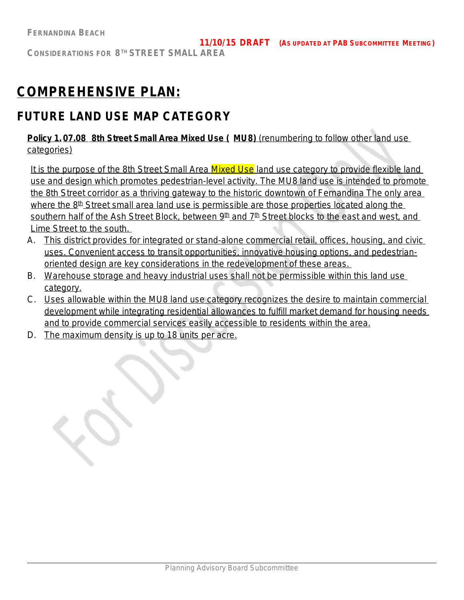# **COMPREHENSIVE PLAN:**

## **FUTURE LAND USE MAP CATEGORY**

**Policy 1. 07.08 8th Street Small Area Mixed Use ( MU8)** (renumbering to follow other land use categories)

It is the purpose of the 8th Street Small Area Mixed Use land use category to provide flexible land use and design which promotes pedestrian-level activity. The MU8 land use is intended to promote the 8th Street corridor as a thriving gateway to the historic downtown of Fernandina The only area where the  $8<sup>th</sup>$  Street small area land use is permissible are those properties located along the southern half of the Ash Street Block, between 9<sup>th</sup> and 7<sup>th</sup> Street blocks to the east and west, and Lime Street to the south.

- A. This district provides for integrated or stand-alone commercial retail, offices, housing, and civic uses. Convenient access to transit opportunities, innovative housing options, and pedestrianoriented design are key considerations in the redevelopment of these areas.
- B. Warehouse storage and heavy industrial uses shall not be permissible within this land use category.
- C. Uses allowable within the MU8 land use category recognizes the desire to maintain commercial development while integrating residential allowances to fulfill market demand for housing needs and to provide commercial services easily accessible to residents within the area.
- D. The maximum density is up to 18 units per acre.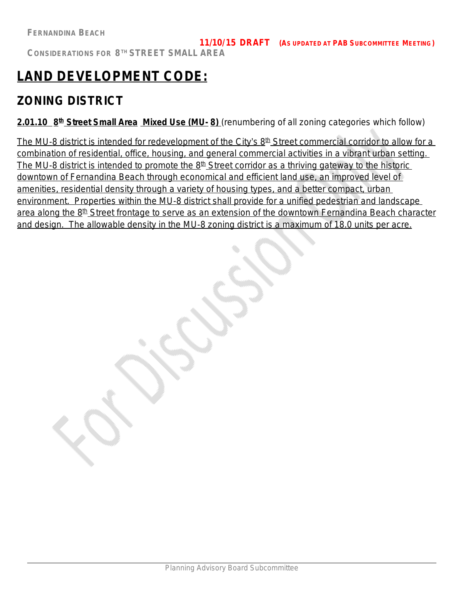## **LAND DEVELOPMENT CODE:**

## **ZONING DISTRICT**

**2.01.10 8 th Street Small Area Mixed Use (MU- 8)** *(renumbering of all zoning categories which follow)*

The MU-8 district is intended for redevelopment of the City's 8<sup>th</sup> Street commercial corridor to allow for a combination of residential, office, housing, and general commercial activities in a vibrant urban setting. The MU-8 district is intended to promote the 8<sup>th</sup> Street corridor as a thriving gateway to the historic downtown of Fernandina Beach through economical and efficient land use, an improved level of amenities, residential density through a variety of housing types, and a better compact, urban environment. Properties within the MU-8 district shall provide for a unified pedestrian and landscape area along the 8<sup>th</sup> Street frontage to serve as an extension of the downtown Fernandina Beach character and design. The allowable density in the MU-8 zoning district is a maximum of 18.0 units per acre.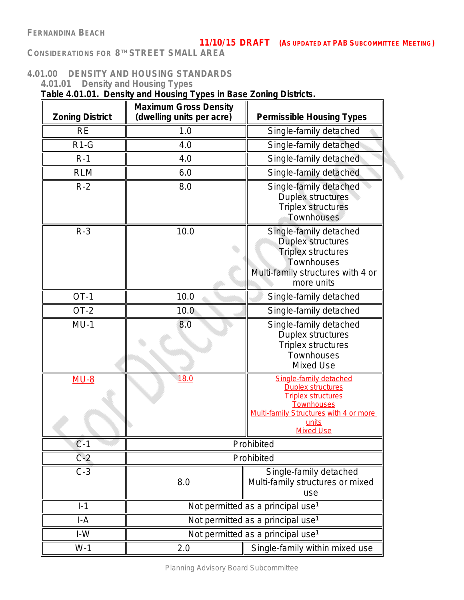### **11/10/15 DRAFT** *(AS UPDATED AT PAB SUBCOMMITTEE MEETING)*

**CONSIDERATIONS FOR 8 TH STREET SMALL AREA**

### **4.01.00 DENSITY AND HOUSING STANDARDS**

**4.01.01 Density and Housing Types**

**Table 4.01.01. Density and Housing Types in Base Zoning Districts.**

| <b>Zoning District</b> | <b>Maximum Gross Density</b><br>(dwelling units per acre) | <b>Permissible Housing Types</b>                                                                                                                                     |
|------------------------|-----------------------------------------------------------|----------------------------------------------------------------------------------------------------------------------------------------------------------------------|
| <b>RE</b>              | 1.0                                                       | Single-family detached                                                                                                                                               |
| $R1-G$                 | 4.0                                                       | Single-family detached                                                                                                                                               |
| $R-1$                  | 4.0                                                       | Single-family detached                                                                                                                                               |
| <b>RLM</b>             | 6.0                                                       |                                                                                                                                                                      |
|                        |                                                           | Single-family detached                                                                                                                                               |
| $R-2$                  | 8.0                                                       | Single-family detached<br>Duplex structures<br><b>Triplex structures</b><br><b>Townhouses</b>                                                                        |
| $R-3$                  | 10.0                                                      | Single-family detached<br>Duplex structures<br><b>Triplex structures</b><br>Townhouses<br>Multi-family structures with 4 or<br>more units                            |
| $OT-1$                 | 10.0                                                      | Single-family detached                                                                                                                                               |
| OT-2                   | 10.0                                                      | Single-family detached                                                                                                                                               |
| $MU-1$                 | 8.0                                                       | Single-family detached<br>Duplex structures<br>Triplex structures<br>Townhouses<br>Mixed Use                                                                         |
| $MU-8$                 | 18.0                                                      | Single-family detached<br><b>Duplex structures</b><br><b>Triplex structures</b><br>Townhouses<br>Multi-family Structures with 4 or more<br>units<br><b>Mixed Use</b> |
| $C-1$                  |                                                           | Prohibited                                                                                                                                                           |
| $C-2$                  |                                                           | Prohibited                                                                                                                                                           |
| $C-3$                  | 8.0                                                       | Single-family detached<br>Multi-family structures or mixed<br>use                                                                                                    |
| $1-1$                  |                                                           | Not permitted as a principal use <sup>1</sup>                                                                                                                        |
| $I-A$                  |                                                           | Not permitted as a principal use <sup>1</sup>                                                                                                                        |
| $I-W$                  |                                                           | Not permitted as a principal use <sup>1</sup>                                                                                                                        |
| $W-1$                  | 2.0                                                       | Single-family within mixed use                                                                                                                                       |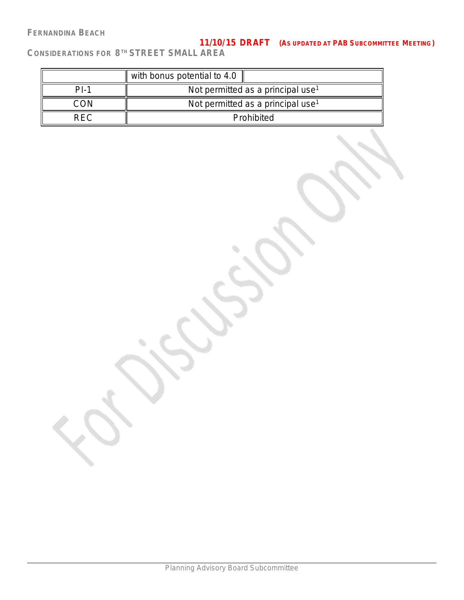### **FERNANDINA BEACH**

### **11/10/15 DRAFT** *(AS UPDATED AT PAB SUBCOMMITTEE MEETING)*

|        | with bonus potential to 4.0                   |
|--------|-----------------------------------------------|
| $PI-1$ | Not permitted as a principal use <sup>1</sup> |
| ∩∩N    | Not permitted as a principal use <sup>1</sup> |
| RFC.   | Prohibited                                    |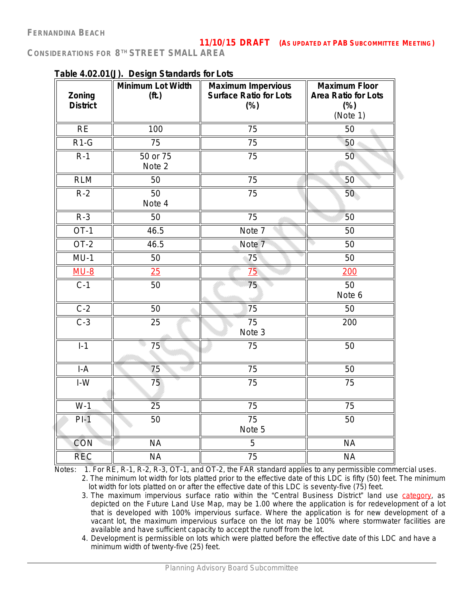|                           | rable 4.02.0 r(J). Design Standards for Edis |                                                                      |                                                                          |
|---------------------------|----------------------------------------------|----------------------------------------------------------------------|--------------------------------------------------------------------------|
| Zoning<br><b>District</b> | Minimum Lot Width<br>(f <sup>t</sup> )       | <b>Maximum Impervious</b><br><b>Surface Ratio for Lots</b><br>$(\%)$ | <b>Maximum Floor</b><br><b>Area Ratio for Lots</b><br>$(\%)$<br>(Note 1) |
| RE                        | 100                                          | 75                                                                   | 50                                                                       |
| $R1-G$                    | 75                                           | 75                                                                   | 50                                                                       |
| $R-1$                     | 50 or 75<br>Note 2                           | 75                                                                   | 50                                                                       |
| <b>RLM</b>                | 50                                           | 75                                                                   | 50                                                                       |
| $R-2$                     | $\overline{50}$<br>Note 4                    | 75                                                                   | 50                                                                       |
| $R-3$                     | 50                                           | 75                                                                   | 50                                                                       |
| $OT-1$                    | 46.5                                         | Note 7                                                               | 50                                                                       |
| $OT-2$                    | 46.5                                         | Note <sub>7</sub>                                                    | 50                                                                       |
| $MU-1$                    | 50                                           | 75                                                                   | 50                                                                       |
| $MU-8$                    | 25                                           | 75                                                                   | 200                                                                      |
| $C-1$                     | 50                                           | 75                                                                   | 50<br>Note 6                                                             |
| $C-2$                     | 50                                           | 75                                                                   | 50                                                                       |
| $C-3$                     | 25                                           | 75<br>Note 3                                                         | 200                                                                      |
| $I-1$                     | 75                                           | 75                                                                   | 50                                                                       |
| $I-A$                     | 75                                           | 75                                                                   | 50                                                                       |
| $I-W$                     | 75                                           | 75                                                                   | 75                                                                       |
| $W-1$                     | $\overline{25}$                              | $\overline{75}$                                                      | $\overline{75}$                                                          |
| $PI-1$                    | 50                                           | $\overline{75}$<br>Note 5                                            | 50                                                                       |
| <b>CON</b>                | <b>NA</b>                                    | 5                                                                    | <b>NA</b>                                                                |
| <b>REC</b>                | <b>NA</b>                                    | 75                                                                   | <b>NA</b>                                                                |

### **Table 4.02.01(J). Design Standards for Lots**

Notes: 1. For RE, R-1, R-2, R-3, OT-1, and OT-2, the FAR standard applies to any permissible commercial uses.

2. The minimum lot width for lots platted prior to the effective date of this LDC is fifty (50) feet. The minimum lot width for lots platted on or after the effective date of this LDC is seventy-five (75) feet.

3. The maximum impervious surface ratio within the "Central Business District" land use category, as depicted on the Future Land Use Map, may be 1.00 where the application is for redevelopment of a lot that is developed with 100% impervious surface. Where the application is for new development of a vacant lot, the maximum impervious surface on the lot may be 100% where stormwater facilities are available and have sufficient capacity to accept the runoff from the lot.

4. Development is permissible on lots which were platted before the effective date of this LDC and have a minimum width of twenty-five (25) feet.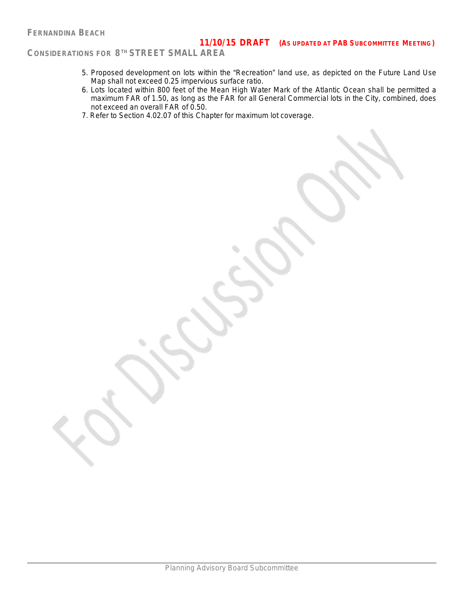- 5. Proposed development on lots within the "Recreation" land use, as depicted on the Future Land Use Map shall not exceed 0.25 impervious surface ratio.
- 6. Lots located within 800 feet of the Mean High Water Mark of the Atlantic Ocean shall be permitted a maximum FAR of 1.50, as long as the FAR for all General Commercial lots in the City, combined, does not exceed an overall FAR of 0.50.
- 7. Refer to Section 4.02.07 of this Chapter for maximum lot coverage.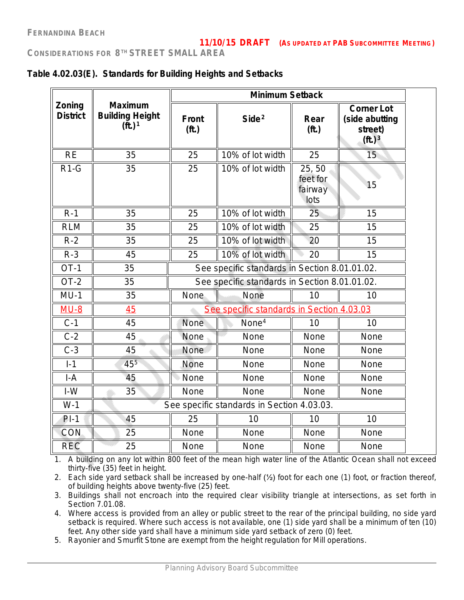| Table 4.02.03(E). Standards for Building Heights and Setbacks |  |  |  |
|---------------------------------------------------------------|--|--|--|
|---------------------------------------------------------------|--|--|--|

|                           |                                                                |                                | <b>Minimum Setback</b>                        |                                      |                                                                               |
|---------------------------|----------------------------------------------------------------|--------------------------------|-----------------------------------------------|--------------------------------------|-------------------------------------------------------------------------------|
| Zoning<br><b>District</b> | <b>Maximum</b><br><b>Building Height</b><br>(ft.) <sup>1</sup> | <b>Front</b><br>( <b>ft</b> .) | Side <sup>2</sup>                             | Rear<br>(f <sup>t</sup> )            | <b>Corner Lot</b><br>(side abutting<br>street)<br>( <b>ft</b> .) <sup>3</sup> |
| <b>RE</b>                 | 35                                                             | 25                             | 10% of lot width                              | 25                                   | 15                                                                            |
| $R1-G$                    | 35                                                             | 25                             | 10% of lot width                              | 25,50<br>feet for<br>fairway<br>lots | 15                                                                            |
| $R-1$                     | 35                                                             | 25                             | 10% of lot width                              | 25                                   | 15                                                                            |
| <b>RLM</b>                | 35                                                             | 25                             | 10% of lot width                              | 25                                   | 15                                                                            |
| $R-2$                     | 35                                                             | 25                             | 10% of lot width                              | 20                                   | 15                                                                            |
| $R-3$                     | 45                                                             | 25                             | 10% of lot width                              | 20                                   | 15                                                                            |
| $OT-1$                    | 35                                                             |                                | See specific standards in Section 8.01.01.02. |                                      |                                                                               |
| $OT-2$                    | 35                                                             |                                | See specific standards in Section 8.01.01.02. |                                      |                                                                               |
| $MU-1$                    | 35                                                             | None                           | None                                          | 10                                   | 10                                                                            |
| $MU-8$                    | 45                                                             |                                | See specific standards in Section 4.03.03     |                                      |                                                                               |
| $C-1$                     | 45                                                             | <b>None</b>                    | None <sup>4</sup>                             | 10                                   | 10                                                                            |
| $C-2$                     | 45                                                             | None                           | None                                          | None                                 | <b>None</b>                                                                   |
| $C-3$                     | 45                                                             | None                           | None                                          | None                                 | None                                                                          |
| $I-1$                     | 455                                                            | <b>None</b>                    | None                                          | None                                 | None                                                                          |
| $I-A$                     | 45                                                             | None                           | None                                          | None                                 | None                                                                          |
| $I-W$                     | 35                                                             | None                           | <b>None</b>                                   | <b>None</b>                          | None                                                                          |
| $W-1$                     |                                                                |                                | See specific standards in Section 4.03.03.    |                                      |                                                                               |
| $PI-1$                    | 45                                                             | 25                             | 10                                            | 10                                   | 10                                                                            |
| CON                       | 25                                                             | None                           | None                                          | None                                 | None                                                                          |
| <b>REC</b>                | 25                                                             | None                           | None                                          | None                                 | None                                                                          |

1. A building on any lot within 800 feet of the mean high water line of the Atlantic Ocean shall not exceed thirty-five (35) feet in height.

2. Each side yard setback shall be increased by one-half (½) foot for each one (1) foot, or fraction thereof, of building heights above twenty-five (25) feet.

3. Buildings shall not encroach into the required clear visibility triangle at intersections, as set forth in Section 7.01.08.

4. Where access is provided from an alley or public street to the rear of the principal building, no side yard setback is required. Where such access is not available, one (1) side yard shall be a minimum of ten (10) feet. Any other side yard shall have a minimum side yard setback of zero (0) feet.

5. Rayonier and Smurfit Stone are exempt from the height regulation for Mill operations.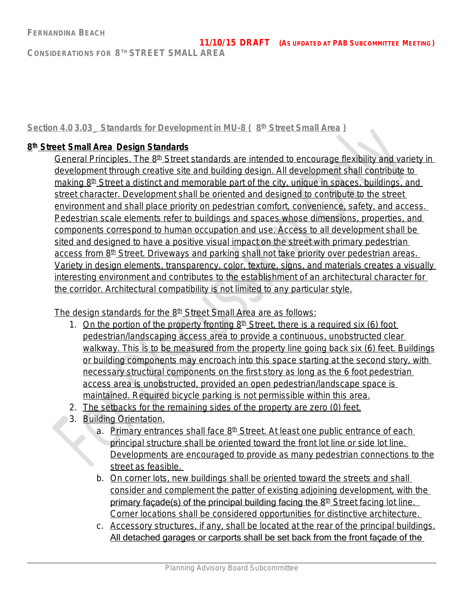### **Section 4.0 3.03\_ Standards for Development in MU-8 ( 8 th Street Small Area )**

### **8 th Street Small Area Design Standards**

General Principles. The 8<sup>th</sup> Street standards are intended to encourage flexibility and variety in development through creative site and building design. All development shall contribute to making 8<sup>th</sup> Street a distinct and memorable part of the city, unique in spaces, buildings, and street character. Development shall be oriented and designed to contribute to the street environment and shall place priority on pedestrian comfort, convenience, safety, and access. Pedestrian scale elements refer to buildings and spaces whose dimensions, properties, and components correspond to human occupation and use. Access to all development shall be sited and designed to have a positive visual impact on the street with primary pedestrian access from 8<sup>th</sup> Street. Driveways and parking shall not take priority over pedestrian areas. Variety in design elements, transparency, color, texture, signs, and materials creates a visually interesting environment and contributes to the establishment of an architectural character for the corridor. Architectural compatibility is not limited to any particular style.

The design standards for the 8<sup>th</sup> Street Small Area are as follows:

- 1. On the portion of the property fronting  $8<sup>th</sup>$  Street, there is a required six (6) foot pedestrian/landscaping access area to provide a continuous, unobstructed clear walkway. This is to be measured from the property line going back six (6) feet. Buildings or building components may encroach into this space starting at the second story, with necessary structural components on the first story as long as the 6 foot pedestrian access area is unobstructed, provided an open pedestrian/landscape space is maintained. Required bicycle parking is not permissible within this area.
- 2. The setbacks for the remaining sides of the property are zero (0) feet.
- 3. Building Orientation.
	- a. Primary entrances shall face 8<sup>th</sup> Street. At least one public entrance of each principal structure shall be oriented toward the front lot line or side lot line. Developments are encouraged to provide as many pedestrian connections to the street as feasible.
	- b. On corner lots, new buildings shall be oriented toward the streets and shall consider and complement the patter of existing adjoining development, with the primary façade(s) of the principal building facing the  $8<sup>th</sup>$  Street facing lot line. Corner locations shall be considered opportunities for distinctive architecture.
	- c. Accessory structures, if any, shall be located at the rear of the principal buildings. All detached garages or carports shall be set back from the front façade of the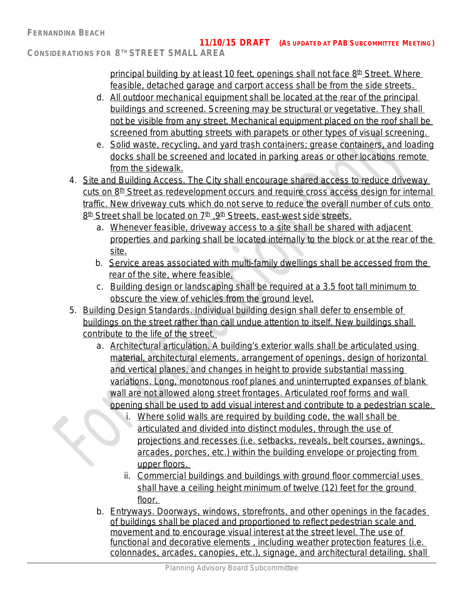principal building by at least 10 feet, openings shall not face 8<sup>th</sup> Street. Where feasible, detached garage and carport access shall be from the side streets.

- d. All outdoor mechanical equipment shall be located at the rear of the principal buildings and screened. Screening may be structural or vegetative. They shall not be visible from any street. Mechanical equipment placed on the roof shall be screened from abutting streets with parapets or other types of visual screening.
- e. Solid waste, recycling, and yard trash containers; grease containers, and loading docks shall be screened and located in parking areas or other locations remote from the sidewalk.
- 4. Site and Building Access. The City shall encourage shared access to reduce driveway  $cuts on 8<sup>th</sup> Street as redevelopment occurs and require cross access design for internal$ traffic. New driveway cuts which do not serve to reduce the overall number of cuts onto <u>8<sup>th</sup> Street shall be located on 7<sup>th</sup> ,9<sup>th</sup> Streets, east-west side streets.</u>
	- a. Whenever feasible, driveway access to a site shall be shared with adjacent properties and parking shall be located internally to the block or at the rear of the site.
	- b. Service areas associated with multi-family dwellings shall be accessed from the rear of the site, where feasible.
	- c. Building design or landscaping shall be required at a 3.5 foot tall minimum to obscure the view of vehicles from the ground level.
- 5. Building Design Standards. Individual building design shall defer to ensemble of buildings on the street rather than call undue attention to itself. New buildings shall contribute to the life of the street.
- a. Architectural articulation. A building's exterior walls shall be articulated using material, architectural elements, arrangement of openings, design of horizontal and vertical planes, and changes in height to provide substantial massing variations. Long, monotonous roof planes and uninterrupted expanses of blank wall are not allowed along street frontages. Articulated roof forms and wall opening shall be used to add visual interest and contribute to a pedestrian scale.  $\leq$ 
	- i. Where solid walls are required by building code, the wall shall be articulated and divided into distinct modules, through the use of projections and recesses (i.e. setbacks, reveals, belt courses, awnings, arcades, porches, etc.) within the building envelope or projecting from upper floors.
	- ii. Commercial buildings and buildings with ground floor commercial uses shall have a ceiling height minimum of twelve (12) feet for the ground floor.
	- b. Entryways. Doorways, windows, storefronts, and other openings in the facades of buildings shall be placed and proportioned to reflect pedestrian scale and movement and to encourage visual interest at the street level. The use of functional and decorative elements , including weather protection features (i.e. colonnades, arcades, canopies, etc.), signage, and architectural detailing, shall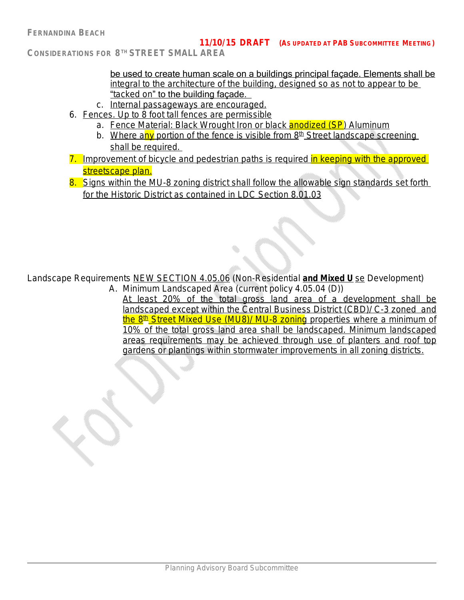**CONSIDERATIONS FOR 8 TH STREET SMALL AREA**

be used to create human scale on a buildings principal façade. Elements shall be integral to the architecture of the building, designed so as not to appear to be "tacked on" to the building façade.

- c. Internal passageways are encouraged.
- 6. Fences. Up to 8 foot tall fences are permissible
	- a. Fence Material: Black Wrought Iron or black *anodized (SP*) Aluminum
	- b. Where any portion of the fence is visible from  $8<sup>th</sup>$  Street landscape screening shall be required.
- 7. Improvement of bicycle and pedestrian paths is required in keeping with the approved streetscape plan.
- 8. Signs within the MU-8 zoning district shall follow the allowable sign standards set forth for the Historic District as contained in LDC Section 8.01.03

Landscape Requirements NEW SECTION 4.05.06 (Non-Residential **and Mixed U** se Development) A. Minimum Landscaped Area (current policy 4.05.04 (D))

At least 20% of the total gross land area of a development shall be landscaped except within the Central Business District (CBD)/ C-3 zoned and <u>the 8th Street Mixed Use (MU8)/ MU-8 zoning</u> properties where a minimum of 10% of the total gross land area shall be landscaped. Minimum landscaped areas requirements may be achieved through use of planters and roof top gardens or plantings within stormwater improvements in all zoning districts.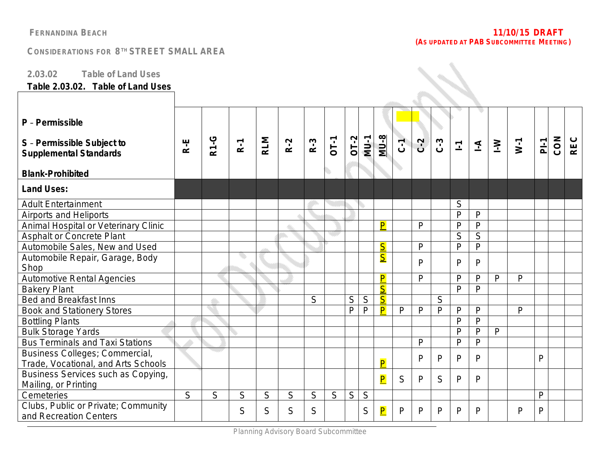**SAR** 

### **CONSIDERATIONS FOR 8 TH STREET SMALL AREA**

### **2.03.02 Table of Land Uses**

### **Table 2.03.02. Table of Land Uses**

| P - Permissible<br>S - Permissible Subject to<br><b>Supplemental Standards</b> | R-E          | <b>R1-G</b> | $R-1$ | <b>RLM</b> | $R-2$ | $R-3$ | <b>OT-1</b> | $OT-2$ | $MU-1$      | <b>MU-8</b>             | $C-1$ | ر<br>د | C.3 | $\overline{L}$ | $\overline{A}$          | $\geq$ | $W-1$        | $P_{-}$      | CON | <b>REC</b> |
|--------------------------------------------------------------------------------|--------------|-------------|-------|------------|-------|-------|-------------|--------|-------------|-------------------------|-------|--------|-----|----------------|-------------------------|--------|--------------|--------------|-----|------------|
| <b>Blank-Prohibited</b>                                                        |              |             |       |            |       |       |             |        |             |                         |       |        |     |                |                         |        |              |              |     |            |
| <b>Land Uses:</b>                                                              |              |             |       |            |       |       |             |        |             |                         |       |        |     |                |                         |        |              |              |     |            |
| <b>Adult Entertainment</b>                                                     |              |             |       |            |       |       |             |        |             |                         |       |        |     | S              |                         |        |              |              |     |            |
| Airports and Heliports                                                         |              |             |       |            |       |       |             |        |             |                         |       |        |     | $\mathsf{P}$   | P                       |        |              |              |     |            |
| Animal Hospital or Veterinary Clinic                                           |              |             |       |            |       |       |             |        |             | $\overline{\mathsf{P}}$ |       | P      |     | $\mathsf{P}$   | $\mathsf{P}$            |        |              |              |     |            |
| Asphalt or Concrete Plant                                                      |              |             |       |            |       |       |             |        |             |                         |       |        |     | $\overline{S}$ | $\overline{\mathsf{S}}$ |        |              |              |     |            |
| Automobile Sales, New and Used                                                 |              |             |       |            |       |       |             |        |             | $\overline{\mathsf{S}}$ |       | P      |     | $\mathsf{p}$   | P                       |        |              |              |     |            |
| Automobile Repair, Garage, Body                                                |              |             |       |            |       |       |             |        |             | $\overline{\mathsf{S}}$ |       | P      |     | P              | P                       |        |              |              |     |            |
| Shop                                                                           |              |             |       |            |       |       |             |        |             |                         |       |        |     |                |                         |        |              |              |     |            |
| Automotive Rental Agencies                                                     |              |             |       |            |       |       |             |        |             | $\overline{\mathsf{P}}$ |       | P      |     | $\mathsf{P}$   | P                       | P      | $\mathsf{P}$ |              |     |            |
| <b>Bakery Plant</b>                                                            |              |             |       |            |       |       |             |        |             | $\overline{\mathsf{S}}$ |       |        |     | $\mathsf{P}$   | P                       |        |              |              |     |            |
| Bed and Breakfast Inns                                                         |              |             |       |            |       | S     |             | S      | $\mathsf S$ | $\overline{\mathsf{S}}$ |       |        | S   |                |                         |        |              |              |     |            |
| <b>Book and Stationery Stores</b>                                              |              |             |       |            |       |       |             | P      | P           | P                       | P     | P      | P   | $\mathsf{P}$   | $\mathsf{P}$            |        | $\mathsf{P}$ |              |     |            |
| <b>Bottling Plants</b>                                                         |              |             |       |            |       |       |             |        |             |                         |       |        |     | $\mathsf{P}$   | P                       |        |              |              |     |            |
| <b>Bulk Storage Yards</b>                                                      |              |             |       |            |       |       |             |        |             |                         |       |        |     | $\mathsf{P}$   | P                       | P      |              |              |     |            |
| <b>Bus Terminals and Taxi Stations</b>                                         |              |             |       |            |       |       |             |        |             |                         |       | P      |     | $\mathsf{P}$   | $\mathsf{P}$            |        |              |              |     |            |
| Business Colleges; Commercial,                                                 |              |             |       |            |       |       |             |        |             |                         |       | P      | P   | P              | P                       |        |              | $\mathsf{P}$ |     |            |
| Trade, Vocational, and Arts Schools                                            |              |             |       |            |       |       |             |        |             | $\overline{P}$          |       |        |     |                |                         |        |              |              |     |            |
| Business Services such as Copying,<br>Mailing, or Printing                     |              |             |       |            |       |       |             |        |             | $\overline{\mathbf{P}}$ | S     | P      | S   | P              | P                       |        |              |              |     |            |
| Cemeteries                                                                     | $\mathsf{S}$ | S           | S     | S          | S     | S     | S           | S      | S           |                         |       |        |     |                |                         |        |              | $\mathsf{P}$ |     |            |
| Clubs, Public or Private; Community<br>and Recreation Centers                  |              |             | S     | S          | S     | S     |             |        | S           | $\overline{\mathsf{P}}$ | P     | P      | P   | P              | P                       |        | $\mathsf{P}$ | $\mathsf{P}$ |     |            |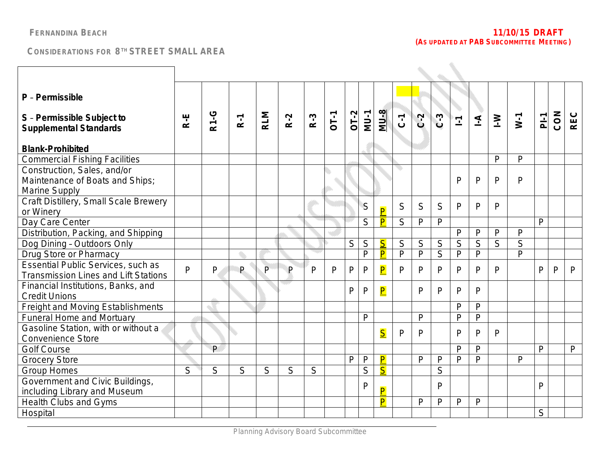| P - Permissible                                                                   |              |              |       |                |       |              |        |             |              |                         |                |              |                |                |                |                |                |                |     |              |
|-----------------------------------------------------------------------------------|--------------|--------------|-------|----------------|-------|--------------|--------|-------------|--------------|-------------------------|----------------|--------------|----------------|----------------|----------------|----------------|----------------|----------------|-----|--------------|
| S - Permissible Subject to<br><b>Supplemental Standards</b>                       | R-E          | <b>R1-G</b>  | $R-1$ | <b>RLM</b>     | $R-2$ | $R-3$        | $0T-1$ | $OT-2$      | $MU-1$       | <b>MU-8</b>             | $\overline{C}$ | $C-2$        | $C-3$          | $\overline{1}$ | $\overline{A}$ | $\geq$         | $W-1$          | $\overline{P}$ | CON | <b>REC</b>   |
| <b>Blank-Prohibited</b>                                                           |              |              |       |                |       |              |        |             |              |                         |                |              |                |                |                |                |                |                |     |              |
| <b>Commercial Fishing Facilities</b>                                              |              |              |       |                |       |              |        |             |              |                         |                |              |                |                |                | P              | $\mathsf{P}$   |                |     |              |
| Construction, Sales, and/or                                                       |              |              |       |                |       |              |        |             |              |                         |                |              |                |                |                |                |                |                |     |              |
| Maintenance of Boats and Ships;                                                   |              |              |       |                |       |              |        |             |              |                         |                |              |                | P              | P              | P              | $\mathsf{P}$   |                |     |              |
| Marine Supply                                                                     |              |              |       |                |       |              |        |             |              |                         |                |              |                |                |                |                |                |                |     |              |
| Craft Distillery, Small Scale Brewery                                             |              |              |       |                |       |              |        |             | S            |                         | S              | S            | S              | P              | P              | P              |                |                |     |              |
| or Winery                                                                         |              |              |       |                |       |              |        |             |              | $\overline{P}$          |                |              |                |                |                |                |                |                |     |              |
| Day Care Center                                                                   |              |              |       |                |       |              |        |             | S            | $\overline{\mathsf{P}}$ | $\mathsf S$    | $\mathsf{P}$ | P              |                |                |                |                | $\mathsf{P}$   |     |              |
| Distribution, Packing, and Shipping                                               |              |              |       |                |       |              |        |             |              |                         |                |              |                | $\mathsf{P}$   | P              | P              | $\mathsf{P}$   |                |     |              |
| Dog Dining - Outdoors Only                                                        |              |              |       |                |       |              |        | $\mathsf S$ | $\mathsf S$  | $\overline{\mathsf{S}}$ | S              | S            | $\mathsf S$    | $\overline{S}$ | $\overline{S}$ | $\overline{S}$ | S              |                |     |              |
| Drug Store or Pharmacy                                                            |              |              |       |                |       |              |        |             | P            | $\overline{\mathsf{P}}$ | $\mathsf{P}$   | $\mathsf{P}$ | $\overline{S}$ | $\mathsf{P}$   | $\overline{P}$ |                | $\overline{P}$ |                |     |              |
| Essential Public Services, such as<br><b>Transmission Lines and Lift Stations</b> | $\mathsf{P}$ | $\mathsf{P}$ | P     | $\overline{P}$ | P     | $\mathsf{P}$ | P      | P           | $\mathsf{P}$ | $\overline{\mathsf{P}}$ | $\mathsf{P}$   | $\mathsf{P}$ | $\mathsf{P}$   | $\mathsf{P}$   | $\mathsf{P}$   | P              |                | $\mathsf{P}$   | P   | $\mathsf{P}$ |
| Financial Institutions, Banks, and<br><b>Credit Unions</b>                        |              |              |       |                |       |              |        | P           | $\mathsf{P}$ | $\overline{\mathsf{P}}$ |                | P            | P              | $\mathsf{P}$   | P              |                |                |                |     |              |
| Freight and Moving Establishments                                                 |              |              |       |                |       |              |        |             |              |                         |                |              |                | $\mathsf{P}$   | P              |                |                |                |     |              |
| <b>Funeral Home and Mortuary</b>                                                  |              |              |       |                |       |              |        |             | $\mathsf{P}$ |                         |                | P            |                | $\mathsf{P}$   | P              |                |                |                |     |              |
| Gasoline Station, with or without a                                               |              |              |       |                |       |              |        |             |              |                         | P              | P            |                | $\mathsf{P}$   | P              | P              |                |                |     |              |
| <b>Convenience Store</b>                                                          |              |              |       |                |       |              |        |             |              | $\overline{\mathsf{S}}$ |                |              |                |                |                |                |                |                |     |              |
| <b>Golf Course</b>                                                                |              | P            |       |                |       |              |        |             |              |                         |                |              |                | $\mathsf{P}$   | P              |                |                | $\mathsf{P}$   |     | $\mathsf{P}$ |
| <b>Grocery Store</b>                                                              |              |              |       |                |       |              |        | P           | $\mathsf{P}$ | $\overline{\mathsf{P}}$ |                | P            | $\mathsf{P}$   | $\mathsf{P}$   | P              |                | $\mathsf{P}$   |                |     |              |
| <b>Group Homes</b>                                                                | S            | S            | S     | S              | S     | S            |        |             | S            | $\overline{\mathsf{S}}$ |                |              | $\mathsf{S}$   |                |                |                |                |                |     |              |
| Government and Civic Buildings,                                                   |              |              |       |                |       |              |        |             | P            |                         |                |              | P              |                |                |                |                | P              |     |              |
| including Library and Museum                                                      |              |              |       |                |       |              |        |             |              | $\overline{\mathsf{P}}$ |                |              |                |                |                |                |                |                |     |              |
| <b>Health Clubs and Gyms</b>                                                      |              |              |       |                |       |              |        |             |              | $\overline{\mathsf{P}}$ |                | P            | P              | P              | P              |                |                |                |     |              |
| Hospital                                                                          |              |              |       |                |       |              |        |             |              |                         |                |              |                |                |                |                |                | S              |     |              |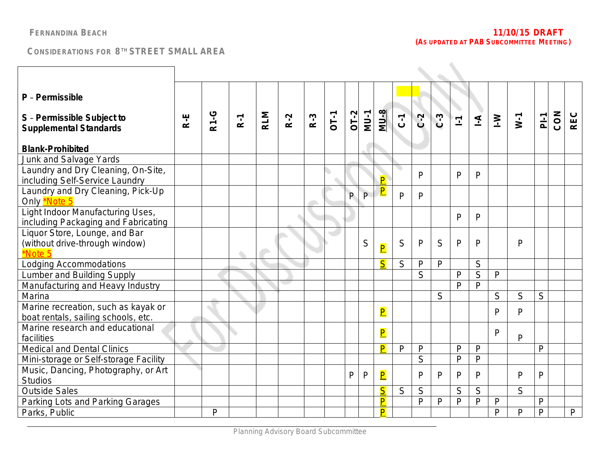| P - Permissible                                                            |     |             |       |            |       |       |             |        |              |                         |                |              |              |              |                         |              |              |                |     |              |
|----------------------------------------------------------------------------|-----|-------------|-------|------------|-------|-------|-------------|--------|--------------|-------------------------|----------------|--------------|--------------|--------------|-------------------------|--------------|--------------|----------------|-----|--------------|
| S - Permissible Subject to<br><b>Supplemental Standards</b>                | R-E | <b>R1-G</b> | $R-1$ | <b>RLM</b> | $R-2$ | $R-3$ | <b>DT-1</b> | $OT-2$ | $MU-1$       | <b>MU-8</b>             | $\overline{C}$ | $C-2$        | $C-3$        | $\mathbb{L}$ | $\overline{A}$          | $\geq$       | $W-1$        | $\overline{P}$ | CON | <b>REC</b>   |
| <b>Blank-Prohibited</b>                                                    |     |             |       |            |       |       |             |        |              |                         |                |              |              |              |                         |              |              |                |     |              |
| Junk and Salvage Yards                                                     |     |             |       |            |       |       |             |        |              |                         |                |              |              |              |                         |              |              |                |     |              |
| Laundry and Dry Cleaning, On-Site,<br>including Self-Service Laundry       |     |             |       |            |       |       |             |        |              | P                       | O              | P            |              | $\mathsf{P}$ | P                       |              |              |                |     |              |
| Laundry and Dry Cleaning, Pick-Up<br>Only <b>Note 5</b>                    |     |             |       |            |       |       |             | P      | P            | $\overline{\mathsf{P}}$ | $\mathsf{p}$   | $\mathsf{P}$ |              |              |                         |              |              |                |     |              |
| Light Indoor Manufacturing Uses,<br>including Packaging and Fabricating    |     |             |       |            |       |       |             |        |              |                         |                |              |              | P            | P                       |              |              |                |     |              |
| Liquor Store, Lounge, and Bar<br>(without drive-through window)<br>*Note 5 |     |             |       |            |       |       |             |        | S            | $\overline{\mathsf{P}}$ | S              | P            | S            | $\mathsf{P}$ | P                       |              | $\mathsf{P}$ |                |     |              |
| <b>Lodging Accommodations</b>                                              |     |             |       |            |       |       |             |        |              | $\overline{\mathsf{S}}$ | S              | $\mathsf{P}$ | P            |              | S                       |              |              |                |     |              |
| Lumber and Building Supply                                                 |     |             |       |            |       |       |             |        |              |                         |                | S            |              | $\mathsf{P}$ | $\overline{\mathsf{S}}$ | P            |              |                |     |              |
| Manufacturing and Heavy Industry                                           |     |             |       |            | an an |       |             |        |              |                         |                |              |              | $\mathsf{P}$ | P                       |              |              |                |     |              |
| Marina                                                                     |     |             |       |            |       |       |             |        |              |                         |                |              | S            |              |                         | S            | S            | S              |     |              |
| Marine recreation, such as kayak or<br>boat rentals, sailing schools, etc. |     |             |       |            |       |       |             |        |              | $\overline{\mathsf{P}}$ |                |              |              |              |                         | P            | $\mathsf{P}$ |                |     |              |
| Marine research and educational<br>facilities                              |     |             | O     |            |       |       |             |        |              | $\overline{\mathsf{P}}$ |                |              |              |              |                         | $\mathsf{P}$ | $\mathsf{P}$ |                |     |              |
| <b>Medical and Dental Clinics</b>                                          |     |             |       |            |       |       |             |        |              | P                       | P              | $\mathsf{P}$ |              | $\mathsf{P}$ | P                       |              |              | $\overline{P}$ |     |              |
| Mini-storage or Self-storage Facility                                      |     |             |       |            |       |       |             |        |              |                         |                | S            |              | $\mathsf{P}$ | P                       |              |              |                |     |              |
| Music, Dancing, Photography, or Art<br><b>Studios</b>                      |     |             |       |            |       |       |             | P      | $\mathsf{P}$ | $\overline{\mathsf{P}}$ |                | P            | P            | $\mathsf{P}$ | P                       |              | $\mathsf{P}$ | P              |     |              |
| <b>Outside Sales</b>                                                       |     |             |       |            |       |       |             |        |              | $\overline{\mathsf{S}}$ | S              | S            |              | S            | S                       |              | S            |                |     |              |
| Parking Lots and Parking Garages                                           |     |             |       |            |       |       |             |        |              | $\overline{\mathsf{P}}$ |                | $\mathsf{P}$ | $\mathsf{P}$ | $\mathsf{P}$ | P                       | P            |              | $\mathsf{P}$   |     |              |
| Parks, Public                                                              |     | P           |       |            |       |       |             |        |              | $\overline{\mathsf{P}}$ |                |              |              |              |                         | $\mathsf{P}$ | $\mathsf{P}$ | $\mathsf{P}$   |     | $\mathsf{P}$ |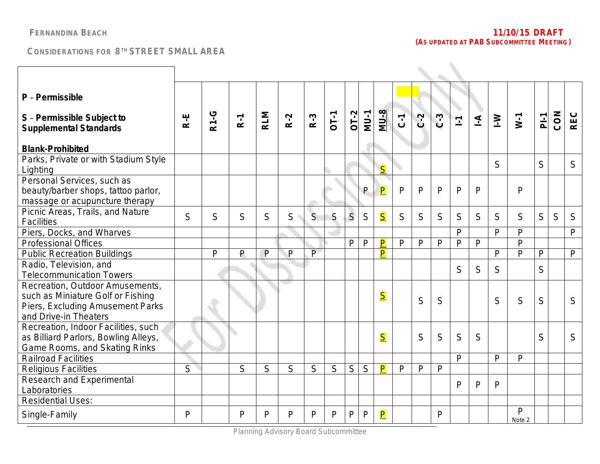| P - Permissible                                                                                                                   |                |              |              |            |                             |              |                |                |              |                         |                |              |              |                |                |              |                        |                |     |              |
|-----------------------------------------------------------------------------------------------------------------------------------|----------------|--------------|--------------|------------|-----------------------------|--------------|----------------|----------------|--------------|-------------------------|----------------|--------------|--------------|----------------|----------------|--------------|------------------------|----------------|-----|--------------|
| S - Permissible Subject to<br><b>Supplemental Standards</b>                                                                       | $R-E$          | <b>R1-G</b>  | $R-1$        | <b>RLM</b> | $R-2$                       | $R-3$        | $OT-1$         | $OT-2$         | $MU-1$       | <b>MU-8</b>             | $\overline{c}$ | $C-2$        | $C-3$        | $\overline{1}$ | $\overline{A}$ | $\geq$       | $W-1$                  | P <sub>i</sub> | CON | <b>REC</b>   |
| <b>Blank-Prohibited</b>                                                                                                           |                |              |              |            |                             |              |                |                |              |                         |                |              |              |                |                |              |                        |                |     |              |
| Parks, Private or with Stadium Style<br>Lighting                                                                                  |                |              |              |            |                             |              |                |                |              | $\overline{\mathsf{S}}$ |                |              |              |                |                | S            |                        | S              |     | S            |
| Personal Services, such as<br>beauty/barber shops, tattoo parlor,<br>massage or acupuncture therapy                               |                |              |              |            |                             |              |                |                | P            | $\overline{\mathsf{P}}$ | $\mathsf{P}$   | $\mathsf{D}$ | P            | $\mathsf{P}$   | P              |              | $\mathsf{P}$           |                |     |              |
| Picnic Areas, Trails, and Nature<br>Facilities                                                                                    | S              | S            | S            | S          | S                           | $\mathsf{S}$ | S              | $\mathsf{S}$   | S            | S                       | S              | S            | S            | S              | S              | S            | S                      | S              | S   | S            |
| Piers, Docks, and Wharves                                                                                                         |                |              |              |            |                             |              |                |                |              |                         |                |              |              | $\mathsf{P}$   |                | P            | $\mathsf{P}$           |                |     | P            |
| <b>Professional Offices</b>                                                                                                       |                |              |              |            |                             |              |                | P              | $\mathsf{P}$ | $\overline{\mathsf{P}}$ | $\mathsf{P}$   | $\mathsf{P}$ | $\mathsf{P}$ | $\mathsf{P}$   | P              |              | $\mathsf{P}$           |                |     |              |
| <b>Public Recreation Buildings</b>                                                                                                |                | $\mathsf{P}$ | $\mathsf{P}$ | P          | P                           | $\mathsf{P}$ |                |                |              | P                       |                |              |              |                |                | $\mathsf{P}$ | $\mathsf{P}$           | P              |     | $\mathsf{P}$ |
| Radio, Television, and<br><b>Telecommunication Towers</b>                                                                         |                |              |              |            |                             |              |                |                |              |                         |                |              |              | S              | S              | S            |                        | S              |     |              |
| Recreation, Outdoor Amusements,<br>such as Miniature Golf or Fishing<br>Piers, Excluding Amusement Parks<br>and Drive-in Theaters |                |              |              |            | $\mathcal{L}^{\mathcal{L}}$ |              |                |                |              | $\overline{\mathsf{S}}$ |                | S            | S            |                |                | S            | S                      | S              |     | S            |
| Recreation, Indoor Facilities, such<br>as Billiard Parlors, Bowling Alleys,<br>Game Rooms, and Skating Rinks                      |                |              |              |            |                             |              |                |                |              | $\overline{\mathsf{S}}$ |                | S            | S            | S              | S              |              |                        | S              |     | S            |
| <b>Railroad Facilities</b>                                                                                                        |                |              |              |            |                             |              |                |                |              |                         |                |              |              | $\mathsf{P}$   |                | P            | $\mathsf{P}$           |                |     |              |
| <b>Religious Facilities</b>                                                                                                       | $\overline{S}$ |              | S            | S          | $\overline{S}$              | S            | $\overline{S}$ | $\overline{S}$ | S            | P                       | $\mathsf{P}$   | P            | $\mathsf{P}$ |                |                |              |                        |                |     |              |
| Research and Experimental<br>Laboratories                                                                                         |                |              |              |            |                             |              |                |                |              |                         |                |              |              | P              | P              | P            |                        |                |     |              |
| <b>Residential Uses:</b>                                                                                                          |                |              |              |            |                             |              |                |                |              |                         |                |              |              |                |                |              |                        |                |     |              |
| Single-Family                                                                                                                     | P              |              | P            | D          | P                           | P            | P              | P              | $\mathsf{P}$ | $\overline{\mathsf{P}}$ |                |              | P            |                |                |              | $\mathsf{P}$<br>Note 2 |                |     |              |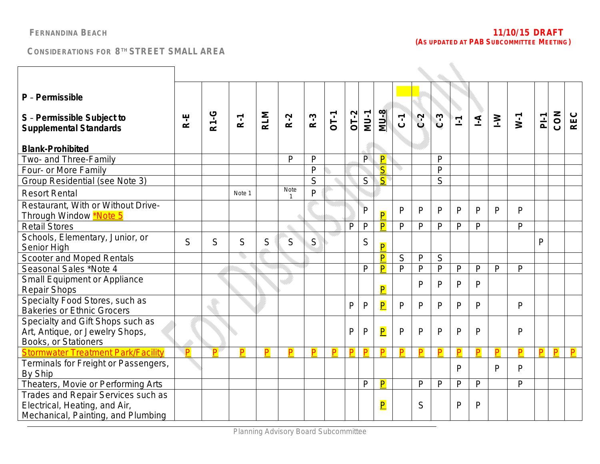| P - Permissible<br>S - Permissible Subject to<br><b>Supplemental Standards</b>                            | R-E            | <b>R1-G</b> | $R-1$  | <b>RLM</b> | $R-2$             | $R-3$          | <b>DT-1</b> | $OI-2$ | <b>MU-1</b>    | <b>MU-8</b>             | $\overline{C}$ | $C-2$        | $C-3$        | $\overline{\mathbb{L}}$ | $\overline{\mathcal{L}}$ | $\geq$ | $W-1$        | P <sub>i</sub> | CON | <b>REC</b> |
|-----------------------------------------------------------------------------------------------------------|----------------|-------------|--------|------------|-------------------|----------------|-------------|--------|----------------|-------------------------|----------------|--------------|--------------|-------------------------|--------------------------|--------|--------------|----------------|-----|------------|
| <b>Blank-Prohibited</b>                                                                                   |                |             |        |            |                   |                |             |        |                |                         |                |              |              |                         |                          |        |              |                |     |            |
| Two- and Three-Family                                                                                     |                |             |        |            | P                 | $\mathsf{P}$   |             |        | $\overline{P}$ | $\overline{\mathsf{P}}$ |                |              | P            |                         |                          |        |              |                |     |            |
| Four- or More Family                                                                                      |                |             |        |            |                   | P              |             |        |                | $\overline{\mathsf{S}}$ |                |              | P            |                         |                          |        |              |                |     |            |
| Group Residential (see Note 3)                                                                            |                |             |        |            |                   | S              |             |        | S              | $S^{\dagger}$           |                |              | S            |                         |                          |        |              |                |     |            |
| <b>Resort Rental</b>                                                                                      |                |             | Note 1 |            | <b>Note</b><br>-1 | $\overline{P}$ |             |        |                |                         |                |              |              |                         |                          |        |              |                |     |            |
| Restaurant, With or Without Drive-<br>Through Window <b>*Note 5</b>                                       |                |             |        |            |                   |                |             |        | $\mathsf{P}$   | $\overline{\mathsf{P}}$ | P              | $\mathsf{P}$ | P            | P                       | P                        | P      | $\mathsf{P}$ |                |     |            |
| <b>Retail Stores</b>                                                                                      |                |             |        |            | O.                |                |             | P      | $\mathsf{P}$   | $\overline{\mathsf{P}}$ | $\mathsf{P}$   | $\mathsf{P}$ | P            | $\mathsf{P}$            | P                        |        | P            |                |     |            |
| Schools, Elementary, Junior, or<br>Senior High                                                            | S              | S           | S      | S          | S.                | $\mathsf{S}$   |             |        | S              | $\overline{\mathsf{P}}$ |                |              |              |                         |                          |        |              | $\mathsf{P}$   |     |            |
| Scooter and Moped Rentals                                                                                 |                |             |        |            |                   |                |             |        |                | $\overline{\mathsf{P}}$ | $\overline{S}$ | $\mathsf{P}$ | S            |                         |                          |        |              |                |     |            |
| Seasonal Sales *Note 4                                                                                    |                |             |        |            |                   |                |             |        | P              | P                       | $\mathsf{P}$   | $\mathsf{P}$ | $\mathsf{P}$ | $\mathsf{P}$            | $\mathsf{P}$             | P      | $\mathsf{P}$ |                |     |            |
| <b>Small Equipment or Appliance</b><br><b>Repair Shops</b>                                                |                |             |        |            |                   |                |             |        |                | $\overline{\mathsf{P}}$ |                | P            | P            | P                       | P                        |        |              |                |     |            |
| Specialty Food Stores, such as<br><b>Bakeries or Ethnic Grocers</b>                                       |                |             |        |            |                   |                |             | P      | $\mathsf{P}$   | $\overline{\mathsf{P}}$ | P              | P            | P            | P                       | P                        |        | P            |                |     |            |
| Specialty and Gift Shops such as<br>Art, Antique, or Jewelry Shops,<br>Books, or Stationers               |                |             |        |            |                   |                |             | P      | $\mathsf{P}$   | $\overline{\mathsf{P}}$ | P              | P            | P            | $\mathsf{P}$            | P                        |        | $\mathsf{P}$ |                |     |            |
| <b>Stormwater Treatment Park/Facility</b>                                                                 | $\blacksquare$ | P           | P      | P          | P                 | P              | P           | P      | P              | P                       | P              | P            | P            | P                       | P                        | P      | P            | P              | P   | P          |
| Terminals for Freight or Passengers,<br>By Ship                                                           |                |             |        |            |                   |                |             |        |                |                         |                |              |              | $\mathsf{P}$            |                          | P      | P            |                |     |            |
| Theaters, Movie or Performing Arts                                                                        |                |             |        |            |                   |                |             |        | P              | P                       |                | P            | $\mathsf{P}$ | $\mathsf{P}$            | P                        |        | $\mathsf{P}$ |                |     |            |
| Trades and Repair Services such as<br>Electrical, Heating, and Air,<br>Mechanical, Painting, and Plumbing |                |             |        |            |                   |                |             |        |                | $\overline{\mathsf{P}}$ |                | S            |              | P                       | Þ                        |        |              |                |     |            |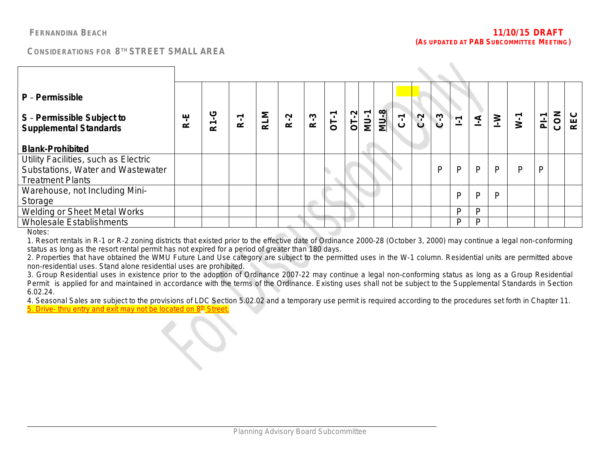$\mathcal{L}_{\mathcal{N}}$ 

| P - Permissible<br>S - Permissible Subject to<br><b>Supplemental Standards</b>                       | ۳<br>空 | <b>R1-G</b> | $\tilde{R}$ -1 | <b>RLM</b> | $R-2$ | $R-3$ | $OT-1$ | $\frac{OT-2}{MU-1}$ | <b>8-NM</b> | $C - 1$ | $C-2$ | $C-3$ | $\mathbb{E}$ | $\leq$ | $\mathsf{I}\text{-}\mathsf{W}$ | $\overline{w}$ -1 | $P_{-}$ | CON | <b>REC</b> |
|------------------------------------------------------------------------------------------------------|--------|-------------|----------------|------------|-------|-------|--------|---------------------|-------------|---------|-------|-------|--------------|--------|--------------------------------|-------------------|---------|-----|------------|
| <b>Blank-Prohibited</b>                                                                              |        |             |                |            |       |       |        |                     |             |         |       |       |              |        |                                |                   |         |     |            |
| Utility Facilities, such as Electric<br>Substations, Water and Wastewater<br><b>Treatment Plants</b> |        |             |                |            |       |       |        |                     |             |         |       | P     | P            | P      | P                              | P                 | P       |     |            |
| Warehouse, not Including Mini-<br>Storage                                                            |        |             |                |            |       |       |        |                     |             |         |       |       | P            | P      | P                              |                   |         |     |            |
| Welding or Sheet Metal Works                                                                         |        |             |                |            |       |       |        |                     |             |         |       |       | D            | P      |                                |                   |         |     |            |
| <b>Wholesale Establishments</b>                                                                      |        |             |                |            |       |       |        |                     |             |         |       |       | D            | D      |                                |                   |         |     |            |

Notes:

1. Resort rentals in R-1 or R-2 zoning districts that existed prior to the effective date of Ordinance 2000-28 (October 3, 2000) may continue a legal non-conforming status as long as the resort rental permit has not expired for a period of greater than 180 days.

2. Properties that have obtained the WMU Future Land Use category are subject to the permitted uses in the W-1 column. Residential units are permitted above non-residential uses. Stand alone residential uses are prohibited.

3. Group Residential uses in existence prior to the adoption of Ordinance 2007-22 may continue a legal non-conforming status as long as a Group Residential Permit is applied for and maintained in accordance with the terms of the Ordinance. Existing uses shall not be subject to the Supplemental Standards in Section 6.02.24.

4. Seasonal Sales are subject to the provisions of LDC Section 5.02.02 and a temporary use permit is required according to the procedures set forth in Chapter 11. 5. Drive- thru entry and exit may not be located on 8<sup>th</sup> Street.

 $\mathcal{L}_{\mathcal{O}}$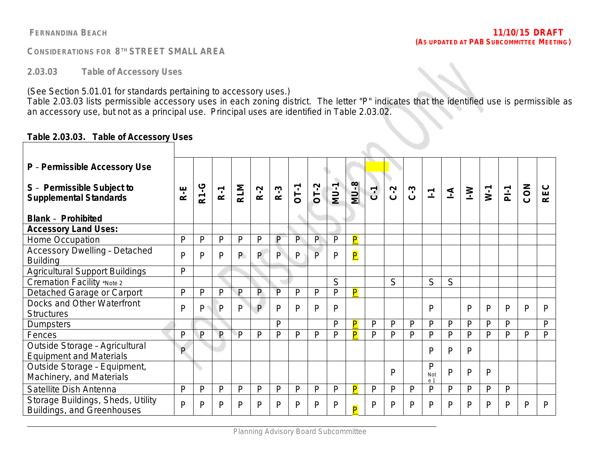**2.03.03 Table of Accessory Uses**

(See Section 5.01.01 for standards pertaining to accessory uses.)

Table 2.03.03 lists permissible accessory uses in each zoning district. The letter "P" indicates that the identified use is permissible as an accessory use, but not as a principal use. Principal uses are identified in Table 2.03.02.

a Sirika.

### **Table 2.03.03. Table of Accessory Uses**

| P - Permissible Accessory Use                                    |              |             |       |            |       |              |              |              |              |                         |                |         |       |                 |                |              |              |              |     |            |
|------------------------------------------------------------------|--------------|-------------|-------|------------|-------|--------------|--------------|--------------|--------------|-------------------------|----------------|---------|-------|-----------------|----------------|--------------|--------------|--------------|-----|------------|
| S - Permissible Subject to<br><b>Supplemental Standards</b>      | R-E          | <b>P1-G</b> | $R-1$ | <b>RLM</b> | $R-2$ | $R-3$        | OT-1         | $OT-2$       | NU-1         | $MU-8$                  | $\overline{G}$ | $C - 2$ | $C-3$ | $\Sigma$        | $\overline{A}$ | $\geq$       | $W-1$        | $P-1$        | CON | <b>REC</b> |
| <b>Blank - Prohibited</b>                                        |              |             |       |            |       |              |              |              |              |                         |                |         |       |                 |                |              |              |              |     |            |
| <b>Accessory Land Uses:</b>                                      |              |             |       |            |       |              |              |              |              |                         |                |         |       |                 |                |              |              |              |     |            |
| Home Occupation                                                  | P            | P           | P     | P          | P     | P            | $\mathsf{P}$ | P            | P            | $\overline{\mathsf{P}}$ |                |         |       |                 |                |              |              |              |     |            |
| <b>Accessory Dwelling - Detached</b><br><b>Building</b>          | $\mathsf{P}$ | P           | P     | P.         | P.    | P.           | $\mathsf{P}$ | $\mathsf{P}$ | P            | $\overline{\mathsf{P}}$ |                |         |       |                 |                |              |              |              |     |            |
| <b>Agricultural Support Buildings</b>                            | P            |             |       |            |       |              |              |              |              |                         |                |         |       |                 |                |              |              |              |     |            |
| Cremation Facility *Note 2                                       |              |             |       |            |       |              |              |              | S            |                         |                | S       |       | S               | S              |              |              |              |     |            |
| Detached Garage or Carport                                       | $\mathsf{P}$ | P           | P     | P          | P     | P            | P            | P            | P            | P                       |                |         |       |                 |                |              |              |              |     |            |
| Docks and Other Waterfront<br><b>Structures</b>                  | P            | P           | P     | P          | P     | P            | P            | P            | P            |                         |                |         |       | P               |                | P            | P            | P            | P   | P          |
| <b>Dumpsters</b>                                                 |              |             |       |            |       | P            |              |              | Þ            | $\overline{\mathsf{P}}$ | $\mathsf{P}$   | P       | P     | $\mathsf{P}$    | P              | $\mathsf{P}$ | P            | $\mathsf{P}$ |     | P          |
| Fences                                                           | P            | P           | P     | P          | P     | $\mathsf{P}$ | P            | P            | $\mathsf{P}$ | $\overline{\mathsf{P}}$ | P              | P       | P     | $\mathsf{P}$    | P              | P            | P            | $\mathsf{P}$ | P   | P          |
| Outside Storage - Agricultural<br><b>Equipment and Materials</b> | $\mathsf{P}$ |             |       |            |       |              |              |              |              |                         |                |         |       | P               | P              | P            |              |              |     |            |
| Outside Storage - Equipment,<br>Machinery, and Materials         |              |             |       |            |       |              |              |              |              |                         |                | P       |       | P<br>Not<br>e 1 | P              | P            | P            |              |     |            |
| Satellite Dish Antenna                                           | P            | P           | P     | P          | P     | P            | $\mathsf{P}$ | P            | P            | $\overline{\mathsf{P}}$ | $\mathsf{P}$   | P       | P     | $\mathsf{P}$    | P              | P            | $\mathsf{P}$ | P            |     |            |
| Storage Buildings, Sheds, Utility<br>Buildings, and Greenhouses  | $\mathsf{P}$ | P           | P     | P          | P     | P            | P            | P            | P            | $\overline{P}$          | P              | P       | P     | P               | P              | P            | P            | P            | P   | P          |

**FERNANDINA BEACH 11/10/15 DRAFT**  *(AS UPDATED AT PAB SUBCOMMITTEE MEETING)*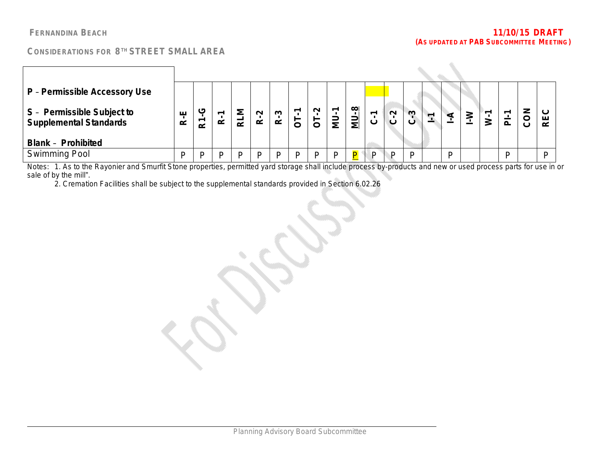÷.

 $\mathcal{L}^{\mathcal{L}}$ 

### **CONSIDERATIONS FOR 8 TH STREET SMALL AREA**

| P - Permissible Accessory Use                               |                              |               |               |        |                               |                     |                |        |          |                         |                          |        |              |  |   |   |   |          |   |
|-------------------------------------------------------------|------------------------------|---------------|---------------|--------|-------------------------------|---------------------|----------------|--------|----------|-------------------------|--------------------------|--------|--------------|--|---|---|---|----------|---|
| S - Permissible Subject to<br><b>Supplemental Standards</b> | ш<br>$\overline{\mathbf{r}}$ | ပ<br>$\alpha$ | ᅮ<br>$\alpha$ | Σ<br>귣 | $\sim$<br>$\overline{\alpha}$ | ო<br>$\dot{\alpha}$ | $\overline{5}$ | $\sim$ | ᅮ<br>ี≅ี | $\infty$<br>πi<br>≝     | $\overline{\phantom{0}}$ | $\sim$ | $\mathbf{c}$ |  |   | ∸ |   | Z<br>င္ပ | r |
| <b>Blank - Prohibited</b>                                   |                              |               |               |        |                               |                     |                |        |          |                         |                          |        |              |  |   |   |   |          |   |
| <b>Swimming Pool</b>                                        | D                            |               | D             |        |                               |                     | D              |        |          | $\overline{\mathsf{P}}$ |                          | D      | D            |  | D |   | D |          |   |

Notes: 1. As to the Rayonier and Smurfit Stone properties, permitted yard storage shall include process by-products and new or used process parts for use in or sale of by the mill".

2. Cremation Facilities shall be subject to the supplemental standards provided in Section 6.02.26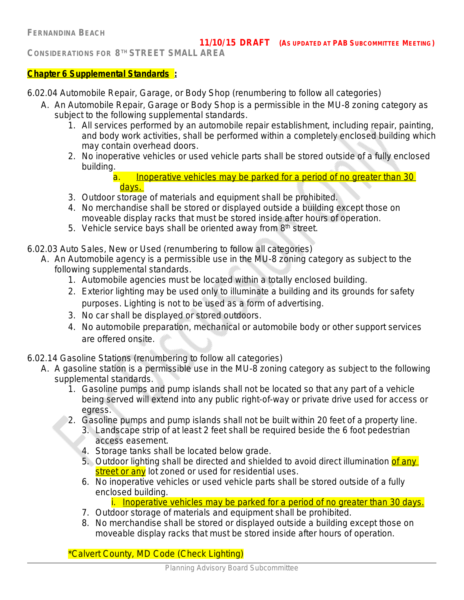### **Chapter 6 Supplemental Standards :**

6.02.04 Automobile Repair, Garage, or Body Shop *(renumbering to follow all categories)*

- A. An Automobile Repair, Garage or Body Shop is a permissible in the MU-8 zoning category as subject to the following supplemental standards.
	- 1. All services performed by an automobile repair establishment, including repair, painting, and body work activities, shall be performed within a completely enclosed building which may contain overhead doors.
	- 2. No inoperative vehicles or used vehicle parts shall be stored outside of a fully enclosed building.
		- a. Inoperative vehicles may be parked for a period of no greater than 30 days.
	- 3. Outdoor storage of materials and equipment shall be prohibited.
	- 4. No merchandise shall be stored or displayed outside a building except those on moveable display racks that must be stored inside after hours of operation.
	- 5. Vehicle service bays shall be oriented away from 8<sup>th</sup> street.
- 6.02.03 Auto Sales, New or Used (*renumbering to follow all categories)*
	- A. An Automobile agency is a permissible use in the MU-8 zoning category as subject to the following supplemental standards.
		- 1. Automobile agencies must be located within a totally enclosed building.
		- 2. Exterior lighting may be used only to illuminate a building and its grounds for safety purposes. Lighting is not to be used as a form of advertising.
		- 3. No car shall be displayed or stored outdoors.
		- 4. No automobile preparation, mechanical or automobile body or other support services are offered onsite.
- 6.02.14 Gasoline Stations *(renumbering to follow all categories)*
	- A. A gasoline station is a permissible use in the MU-8 zoning category as subject to the following supplemental standards.
		- 1. Gasoline pumps and pump islands shall not be located so that any part of a vehicle being served will extend into any public right-of-way or private drive used for access or egress.
		- 2. Gasoline pumps and pump islands shall not be built within 20 feet of a property line.
			- 3. Landscape strip of at least 2 feet shall be required beside the 6 foot pedestrian access easement.
			- 4. Storage tanks shall be located below grade.
			- 5. Outdoor lighting shall be directed and shielded to avoid direct illumination of any street or any lot zoned or used for residential uses.
			- 6. No inoperative vehicles or used vehicle parts shall be stored outside of a fully enclosed building.

i. Inoperative vehicles may be parked for a period of no greater than 30 days.

- 7. Outdoor storage of materials and equipment shall be prohibited.
- 8. No merchandise shall be stored or displayed outside a building except those on moveable display racks that must be stored inside after hours of operation.

*\*Calvert County, MD Code (Check Lighting)*